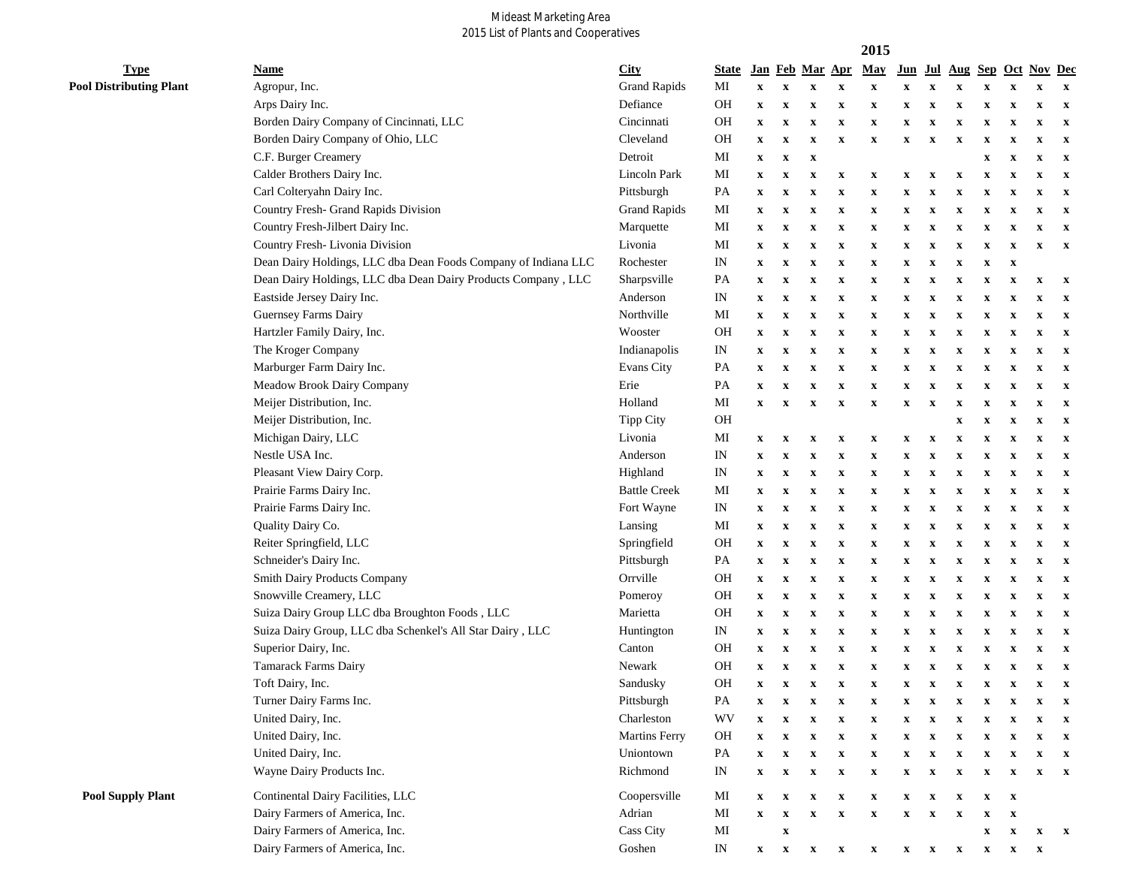## Mideast Marketing Area<br>2015 List of Plants and Cooperatives

|                                |                                                                |                      |                            |                           |                           |                           |                           | 2015                      |                           |                           |                           |                           |                           |                        |              |
|--------------------------------|----------------------------------------------------------------|----------------------|----------------------------|---------------------------|---------------------------|---------------------------|---------------------------|---------------------------|---------------------------|---------------------------|---------------------------|---------------------------|---------------------------|------------------------|--------------|
| <b>Type</b>                    | <b>Name</b>                                                    | City                 | <b>State</b>               |                           |                           | Jan Feb Mar Apr           |                           | May                       | Jun                       |                           | Jul Aug                   |                           |                           | <b>Sep Oct Nov Dec</b> |              |
| <b>Pool Distributing Plant</b> | Agropur, Inc.                                                  | <b>Grand Rapids</b>  | MI                         | $\mathbf x$               | $\mathbf{x}$              | $\mathbf x$               | $\boldsymbol{\mathrm{X}}$ | $\boldsymbol{\mathrm{X}}$ | $\boldsymbol{\mathrm{X}}$ | $\mathbf X$               | X                         | $\mathbf x$               | $\mathbf x$               | $\mathbf x$            | $\mathbf{x}$ |
|                                | Arps Dairy Inc.                                                | Defiance             | <b>OH</b>                  | $\mathbf x$               | $\mathbf x$               | $\mathbf x$               | $\boldsymbol{\mathrm{X}}$ | X                         | x                         | $\mathbf x$               | X                         | $\mathbf x$               | $\boldsymbol{\mathrm{X}}$ | $\mathbf X$            | $\mathbf{x}$ |
|                                | Borden Dairy Company of Cincinnati, LLC                        | Cincinnati           | <b>OH</b>                  | $\mathbf x$               | $\boldsymbol{\mathrm{X}}$ | $\boldsymbol{\mathrm{X}}$ | $\boldsymbol{\mathrm{X}}$ | x                         | x                         | X                         | X                         | x                         | X                         | x                      | $\mathbf{x}$ |
|                                | Borden Dairy Company of Ohio, LLC                              | Cleveland            | <b>OH</b>                  | $\mathbf x$               | $\boldsymbol{\mathrm{X}}$ | $\boldsymbol{\mathrm{X}}$ | $\boldsymbol{\mathrm{X}}$ | x                         | X                         | $\boldsymbol{\mathrm{X}}$ | x                         | x                         | $\mathbf{x}$              | x                      | $\mathbf x$  |
|                                | C.F. Burger Creamery                                           | Detroit              | MI                         | $\mathbf x$               | $\boldsymbol{\mathrm{X}}$ | $\boldsymbol{\mathrm{X}}$ |                           |                           |                           |                           |                           | x                         | X                         | x                      | $\mathbf{x}$ |
|                                | Calder Brothers Dairy Inc.                                     | Lincoln Park         | MI                         | $\mathbf x$               | $\mathbf x$               | $\mathbf x$               | $\boldsymbol{\mathrm{X}}$ | x                         | x                         | $\mathbf x$               | $\mathbf x$               | $\mathbf x$               | $\mathbf x$               | $\mathbf X$            | $\mathbf{x}$ |
|                                | Carl Colteryahn Dairy Inc.                                     | Pittsburgh           | PA                         | $\mathbf x$               | x                         | $\boldsymbol{\mathrm{X}}$ | $\boldsymbol{\mathrm{X}}$ | $\mathbf x$               | x                         | $\mathbf x$               | $\mathbf x$               | $\mathbf x$               | $\mathbf x$               | x                      | $\mathbf{x}$ |
|                                | Country Fresh- Grand Rapids Division                           | <b>Grand Rapids</b>  | MI                         | $\mathbf x$               | $\mathbf x$               | $\mathbf x$               | $\boldsymbol{\mathrm{X}}$ | $\mathbf x$               | x                         | $\mathbf x$               | X                         | x                         | $\mathbf x$               | $\mathbf X$            | $\mathbf{x}$ |
|                                | Country Fresh-Jilbert Dairy Inc.                               | Marquette            | $\rm MI$                   | $\mathbf{x}$              | X                         | X                         | $\mathbf x$               | $\mathbf x$               | x                         | $\mathbf x$               | X                         | x                         | X                         | x                      | $\mathbf{x}$ |
|                                | Country Fresh-Livonia Division                                 | Livonia              | MI                         | $\mathbf x$               | X                         | X                         | $\mathbf x$               | $\mathbf x$               | x                         | X                         | X                         | $\mathbf x$               | $\mathbf x$               | x                      | $\mathbf{x}$ |
|                                | Dean Dairy Holdings, LLC dba Dean Foods Company of Indiana LLC | Rochester            | IN                         | $\boldsymbol{\mathrm{X}}$ | X                         | X                         | $\mathbf x$               | X                         | x                         | X                         | X                         | $\mathbf x$               | $\boldsymbol{\mathrm{X}}$ |                        |              |
|                                | Dean Dairy Holdings, LLC dba Dean Dairy Products Company, LLC  | Sharpsville          | PA                         | $\boldsymbol{\mathrm{X}}$ | $\boldsymbol{\mathrm{X}}$ | X                         | $\boldsymbol{\mathrm{X}}$ | $\mathbf x$               | X                         | X                         | X                         | $\boldsymbol{\mathrm{X}}$ | x                         | $\mathbf X$            | $\mathbf{x}$ |
|                                | Eastside Jersey Dairy Inc.                                     | Anderson             | IN                         | $\mathbf X$               | $\mathbf x$               | $\mathbf x$               | $\boldsymbol{\mathrm{X}}$ | $\mathbf x$               | x                         | X                         | x                         | $\boldsymbol{\mathrm{X}}$ | X                         | X                      | $\mathbf{x}$ |
|                                | Guernsey Farms Dairy                                           | Northville           | MI                         | $\mathbf x$               | $\mathbf x$               | X                         | $\mathbf x$               | $\mathbf x$               | x                         | x                         | X                         | x                         | X                         | x                      | $\mathbf{x}$ |
|                                | Hartzler Family Dairy, Inc.                                    | Wooster              | OH                         | $\mathbf x$               | $\mathbf x$               | $\boldsymbol{\mathrm{X}}$ | $\boldsymbol{\mathrm{X}}$ | $\mathbf X$               | x                         | x                         | X                         | x                         | X                         | x                      | $\mathbf{x}$ |
|                                | The Kroger Company                                             | Indianapolis         | $\mathop{\rm IN}\nolimits$ | $\mathbf x$               | $\mathbf x$               | $\boldsymbol{\mathrm{X}}$ | $\boldsymbol{\mathrm{X}}$ | $\mathbf X$               | x                         | x                         | X                         | x                         | X                         | x                      | $\mathbf{x}$ |
|                                | Marburger Farm Dairy Inc.                                      | Evans City           | PA                         | $\mathbf x$               | $\mathbf x$               | $\boldsymbol{\mathrm{X}}$ | $\boldsymbol{\mathrm{X}}$ | $\boldsymbol{\mathrm{X}}$ | x                         | x                         | X                         | $\boldsymbol{\mathrm{X}}$ | X                         | x                      | $\mathbf{x}$ |
|                                | Meadow Brook Dairy Company                                     | Erie                 | PA                         | $\mathbf x$               | $\mathbf x$               | $\mathbf x$               | $\boldsymbol{\mathrm{X}}$ | x                         | x                         | $\mathbf x$               | X                         | x                         | $\mathbf x$               | x                      | $\mathbf{x}$ |
|                                | Meijer Distribution, Inc.                                      | Holland              | MI                         | $\boldsymbol{\mathrm{X}}$ | $\mathbf x$               | $\mathbf x$               | $\boldsymbol{\mathrm{X}}$ | x                         | $\boldsymbol{\mathrm{X}}$ | $\mathbf x$               | X                         | x                         | $\mathbf x$               | $\mathbf X$            | $\mathbf{x}$ |
|                                | Meijer Distribution, Inc.                                      | Tipp City            | <b>OH</b>                  |                           |                           |                           |                           |                           |                           |                           | $\mathbf x$               | $\mathbf x$               | $\mathbf x$               | $\mathbf X$            | $\mathbf{x}$ |
|                                | Michigan Dairy, LLC                                            | Livonia              | MI                         | $\mathbf{x}$              | $\mathbf x$               | $\mathbf x$               | $\boldsymbol{\mathrm{x}}$ | x                         | x                         | $\mathbf x$               | x                         | $\mathbf x$               | $\mathbf x$               | $\mathbf X$            | $\mathbf{x}$ |
|                                | Nestle USA Inc.                                                | Anderson             | IN                         | $\mathbf x$               | $\boldsymbol{\mathrm{X}}$ | X                         | $\mathbf x$               | X                         | X                         | $\mathbf{x}$              | x                         | X                         | $\mathbf x$               | x                      | $\mathbf{x}$ |
|                                | Pleasant View Dairy Corp.                                      | Highland             | IN                         | $\mathbf x$               | $\boldsymbol{\mathrm{X}}$ | $\boldsymbol{\mathrm{X}}$ | $\boldsymbol{\mathrm{X}}$ | X                         | x                         | $\boldsymbol{\mathrm{X}}$ | x                         | X                         | $\mathbf x$               | x                      | $\mathbf{x}$ |
|                                | Prairie Farms Dairy Inc.                                       | <b>Battle Creek</b>  | MI                         | $\mathbf x$               | $\mathbf x$               | $\mathbf x$               | $\boldsymbol{\mathrm{X}}$ | $\mathbf x$               | x                         | $\mathbf x$               | $\mathbf x$               | $\mathbf x$               | $\mathbf x$               | $\mathbf X$            | $\mathbf{x}$ |
|                                | Prairie Farms Dairy Inc.                                       | Fort Wayne           | $\ensuremath{\text{IN}}$   | $\mathbf{x}$              | $\mathbf x$               | $\mathbf x$               | $\boldsymbol{\mathrm{X}}$ | $\mathbf x$               | x                         | $\mathbf X$               | $\mathbf x$               | $\mathbf x$               | $\mathbf x$               | $\mathbf X$            | $\mathbf{x}$ |
|                                | Quality Dairy Co.                                              | Lansing              | $\rm MI$                   | $\mathbf x$               | X                         | X                         | $\mathbf x$               | $\mathbf x$               | x                         | $\mathbf x$               | X                         | $\mathbf x$               | $\mathbf x$               | x                      | $\mathbf{x}$ |
|                                | Reiter Springfield, LLC                                        | Springfield          | OH                         | $\boldsymbol{\mathrm{X}}$ | X                         | X                         | $\mathbf x$               | $\mathbf x$               | x                         | $\mathbf x$               | X                         | $\mathbf x$               | x                         | x                      | $\mathbf{x}$ |
|                                | Schneider's Dairy Inc.                                         | Pittsburgh           | PA                         | $\boldsymbol{\mathrm{X}}$ | X                         | X                         | $\mathbf x$               | X                         | x                         | $\mathbf x$               | X                         | $\mathbf x$               | $\mathbf x$               | $\mathbf X$            | $\mathbf{x}$ |
|                                | <b>Smith Dairy Products Company</b>                            | Orrville             | OH                         | $\mathbf x$               | X                         | X                         | $\mathbf x$               | $\mathbf x$               | x                         | $\mathbf x$               | X                         | $\mathbf x$               | $\mathbf x$               | $\mathbf X$            | $\mathbf{x}$ |
|                                | Snowville Creamery, LLC                                        | Pomeroy              | OH                         | $\mathbf X$               | $\mathbf x$               | $\mathbf x$               | $\mathbf x$               | $\mathbf x$               | x                         | $\mathbf x$               | X                         | $\boldsymbol{\mathrm{X}}$ | x                         | $\mathbf X$            | $\mathbf{x}$ |
|                                | Suiza Dairy Group LLC dba Broughton Foods, LLC                 | Marietta             | <b>OH</b>                  | $\mathbf x$               | $\boldsymbol{\mathrm{x}}$ | X                         | $\mathbf x$               | $\mathbf x$               | x                         | X                         | X                         | X                         | x                         | $\mathbf X$            | $\mathbf{x}$ |
|                                | Suiza Dairy Group, LLC dba Schenkel's All Star Dairy, LLC      | Huntington           | IN                         | $\boldsymbol{\mathrm{X}}$ | X                         | X                         | $\mathbf x$               | $\mathbf x$               | x                         | X                         | x                         | x                         | x                         | x                      | $\mathbf{x}$ |
|                                | Superior Dairy, Inc.                                           | Canton               | OH                         | $\mathbf X$               | X                         | X                         | $\mathbf x$               | X                         | X                         | x                         | x                         | x                         | x                         | $\mathbf X$            | $\mathbf{x}$ |
|                                | Tamarack Farms Dairy                                           | Newark               | <b>OH</b>                  | $\mathbf X$               | X                         | X                         | $\mathbf x$               | $\boldsymbol{\mathrm{X}}$ | x                         | $\mathbf x$               | X                         | $\mathbf x$               | $\mathbf x$               | $\mathbf X$            | $\mathbf{x}$ |
|                                | Toft Dairy, Inc.                                               | Sandusky             | <b>OH</b>                  | $\mathbf X$               | $\boldsymbol{\mathrm{X}}$ | $\boldsymbol{\mathrm{X}}$ | X                         | X                         | x                         | $\mathbf X$               | X                         | $\mathbf X$               | X                         | $\mathbf{x}$           | $\mathbf{x}$ |
|                                | Turner Dairy Farms Inc.                                        | Pittsburgh           | PA                         | $\boldsymbol{\mathrm{X}}$ | $\mathbf x$               | $\boldsymbol{\mathrm{X}}$ | $\mathbf x$               | $\mathbf x$               | x                         | $\boldsymbol{\mathrm{X}}$ | $\mathbf x$               | $\boldsymbol{\mathrm{X}}$ | $\mathbf x$               |                        | $\mathbf{x}$ |
|                                | United Dairy, Inc.                                             | Charleston           | WV                         | $\boldsymbol{\mathrm{X}}$ | $\boldsymbol{\mathrm{X}}$ | $\boldsymbol{\mathrm{X}}$ | $\mathbf X$               | $\mathbf x$               | $\boldsymbol{\mathrm{X}}$ | $\mathbf x$               | $\mathbf x$               | $\boldsymbol{\mathrm{X}}$ | $\mathbf x$               | $\mathbf X$            | $\mathbf{x}$ |
|                                | United Dairy, Inc.                                             | <b>Martins Ferry</b> | OH                         | $\boldsymbol{\mathrm{X}}$ | $\boldsymbol{\mathrm{X}}$ | $\boldsymbol{\mathrm{X}}$ | $\mathbf X$               | $\boldsymbol{\mathrm{X}}$ | $\boldsymbol{\mathrm{X}}$ | $\boldsymbol{\mathrm{X}}$ | $\boldsymbol{\mathrm{X}}$ | $\boldsymbol{\mathrm{X}}$ | $\mathbf x$               | $\mathbf X$            | $\mathbf{x}$ |
|                                | United Dairy, Inc.                                             | Uniontown            | PA                         | $\boldsymbol{\mathrm{X}}$ | $\boldsymbol{\mathrm{X}}$ | $\boldsymbol{\mathrm{X}}$ | $\mathbf X$               | $\boldsymbol{\mathrm{X}}$ | $\boldsymbol{\mathrm{X}}$ | $\boldsymbol{\mathrm{X}}$ | $\boldsymbol{\mathrm{X}}$ | $\boldsymbol{\mathrm{X}}$ | $\mathbf x$               | $\mathbf X$            | $\mathbf{x}$ |
|                                | Wayne Dairy Products Inc.                                      | Richmond             | IN                         | $\mathbf x$               | $\boldsymbol{\mathrm{X}}$ | $\boldsymbol{\mathrm{X}}$ | $\mathbf X$               | $\boldsymbol{\mathrm{X}}$ | $\boldsymbol{\mathrm{X}}$ | $\mathbf X$               | $\mathbf X$               | $\boldsymbol{\mathrm{X}}$ | $\mathbf x$               | $\mathbf x$            | $\mathbf{x}$ |
| <b>Pool Supply Plant</b>       | Continental Dairy Facilities, LLC                              | Coopersville         | $\mathbf{M}\mathbf{I}$     | $\mathbf{x}$              | $\mathbf x$               | $\boldsymbol{\mathrm{X}}$ | $\mathbf X$               | $\mathbf x$               | $\boldsymbol{\mathrm{X}}$ | $\mathbf x$               | X                         | $\boldsymbol{\mathrm{X}}$ | $\mathbf{x}$              |                        |              |
|                                | Dairy Farmers of America, Inc.                                 | Adrian               | $\rm MI$                   | $\mathbf X$               | $\boldsymbol{\mathrm{X}}$ | $\boldsymbol{\mathrm{X}}$ | $\mathbf X$               | $\boldsymbol{\mathrm{X}}$ | $\boldsymbol{\mathrm{X}}$ | $\boldsymbol{\mathrm{X}}$ | X                         | $\boldsymbol{\mathrm{X}}$ | $\mathbf x$               |                        |              |
|                                | Dairy Farmers of America, Inc.                                 | Cass City            | $\rm MI$                   |                           | $\mathbf X$               |                           |                           |                           |                           |                           |                           | $\boldsymbol{\mathrm{X}}$ | $\mathbf x$               | $\mathbf{x}$           | $\mathbf{x}$ |
|                                | Dairy Farmers of America, Inc.                                 | Goshen               | IN                         | $\mathbf X$               | $\mathbf{x}$              | $\mathbf{x}$ $\mathbf{x}$ |                           | $\mathbf x$               | $\mathbf{x}$              | $\mathbf{x}$              | $\mathbf{x}$              | $\boldsymbol{\mathrm{X}}$ | $\boldsymbol{\mathrm{X}}$ | $\mathbf{x}$           |              |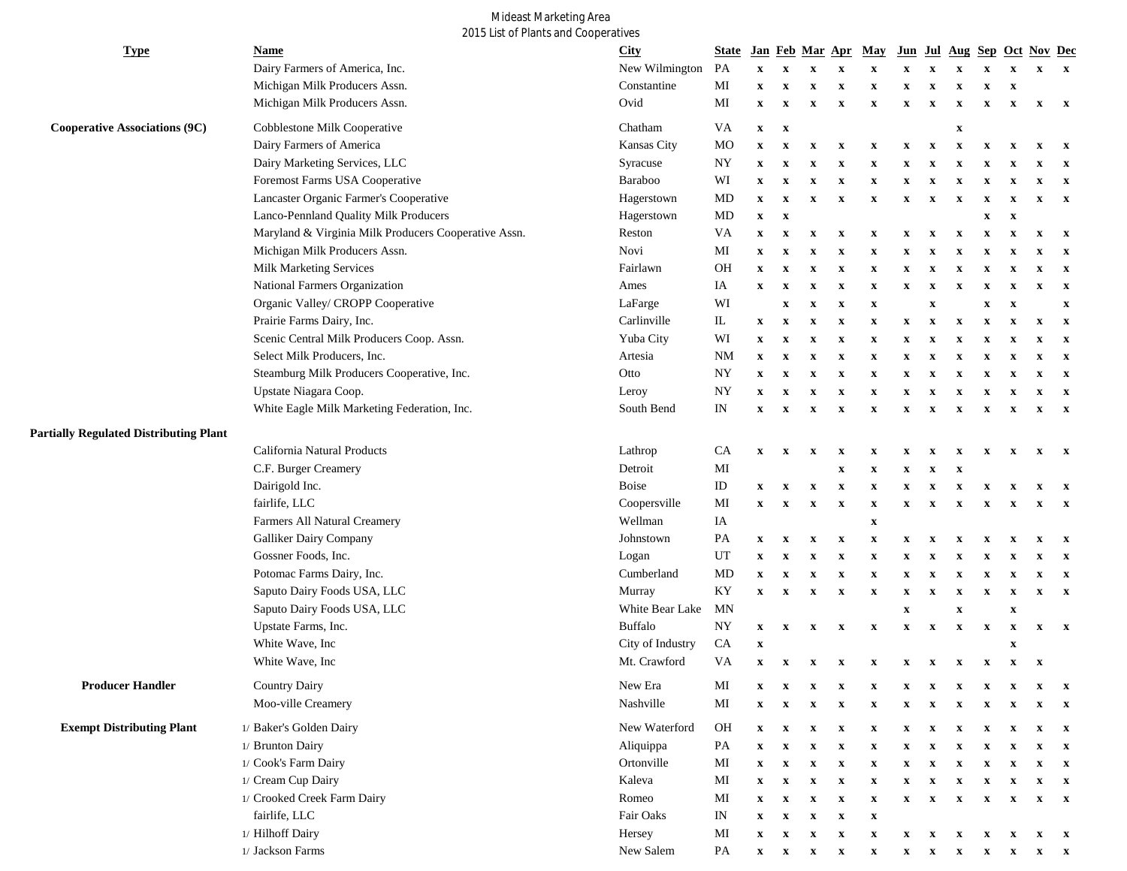## Mideast Marketing Area<br>2015 List of Plants and Cooperatives

| <b>Type</b>                                   | <b>Name</b>                                          | <b>City</b>      | <b>State</b>     |                           |                           | Jan Feb Mar Apr                                                    |                           | May                       |                           |                           | Jun Jul Aug                                                                                                                                |                           |                           | Sep Oct Nov Dec           |              |
|-----------------------------------------------|------------------------------------------------------|------------------|------------------|---------------------------|---------------------------|--------------------------------------------------------------------|---------------------------|---------------------------|---------------------------|---------------------------|--------------------------------------------------------------------------------------------------------------------------------------------|---------------------------|---------------------------|---------------------------|--------------|
|                                               | Dairy Farmers of America, Inc.                       | New Wilmington   | PA               | $\mathbf X$               | $\mathbf x$               | $\mathbf X$                                                        | $\mathbf X$               | $\mathbf X$               | $\boldsymbol{\mathrm{X}}$ |                           |                                                                                                                                            | X                         | $\mathbf X$               | $\mathbf{x}$              | $\mathbf{x}$ |
|                                               | Michigan Milk Producers Assn.                        | Constantine      | MI               | $\mathbf X$               | $\mathbf X$               | $\mathbf X$                                                        | $\mathbf X$               | $\mathbf x$               | $\mathbf X$               | x                         | X                                                                                                                                          | $\boldsymbol{\mathrm{X}}$ | $\boldsymbol{\mathrm{X}}$ |                           |              |
|                                               | Michigan Milk Producers Assn.                        | Ovid             | MI               | $\mathbf x$               | $\boldsymbol{\mathrm{X}}$ | $\mathbf x$                                                        | $\boldsymbol{\mathrm{X}}$ | $\mathbf x$               | $\mathbf x$               | $\mathbf X$               | $\mathbf x$                                                                                                                                | X                         | $\boldsymbol{\mathrm{X}}$ | $\mathbf x$               | $\mathbf{x}$ |
| <b>Cooperative Associations (9C)</b>          | Cobblestone Milk Cooperative                         | Chatham          | VA               | $\boldsymbol{\mathrm{X}}$ | $\boldsymbol{\mathrm{X}}$ |                                                                    |                           |                           |                           |                           | $\boldsymbol{\mathrm{X}}$                                                                                                                  |                           |                           |                           |              |
|                                               | Dairy Farmers of America                             | Kansas City      | MO               | $\boldsymbol{\mathrm{X}}$ | $\mathbf x$               | $\boldsymbol{\mathrm{X}}$                                          | $\mathbf X$               | $\mathbf x$               | $\boldsymbol{\mathrm{X}}$ | $\mathbf X$               | X                                                                                                                                          | X                         | $\boldsymbol{\mathrm{x}}$ | $\boldsymbol{\mathrm{X}}$ | $\mathbf{x}$ |
|                                               | Dairy Marketing Services, LLC                        | Syracuse         | $_{\mathrm{NY}}$ | $\boldsymbol{\mathrm{X}}$ | $\boldsymbol{\mathrm{X}}$ | $\mathbf x$                                                        | X                         | $\mathbf x$               | $\mathbf x$               |                           | х                                                                                                                                          | X                         | $\boldsymbol{\mathrm{x}}$ | $\mathbf X$               | $\mathbf{x}$ |
|                                               | Foremost Farms USA Cooperative                       | Baraboo          | WI               | $\boldsymbol{\mathrm{X}}$ | $\boldsymbol{\mathrm{X}}$ | $\boldsymbol{\mathrm{X}}$                                          | $\boldsymbol{\mathrm{X}}$ | $\mathbf x$               | $\mathbf X$               |                           | X                                                                                                                                          | X                         | X                         | x                         | $\mathbf{x}$ |
|                                               | Lancaster Organic Farmer's Cooperative               | Hagerstown       | MD               | $\boldsymbol{\mathrm{X}}$ | $\boldsymbol{\mathrm{X}}$ | $\boldsymbol{\mathrm{X}}$                                          | $\boldsymbol{\mathrm{X}}$ | $\boldsymbol{\mathrm{X}}$ | $\boldsymbol{\mathrm{X}}$ | $\mathbf x$               | X                                                                                                                                          | x                         | $\boldsymbol{\mathrm{X}}$ | x                         | $\mathbf{x}$ |
|                                               | Lanco-Pennland Quality Milk Producers                | Hagerstown       | $\rm MD$         | $\mathbf X$               | $\mathbf X$               |                                                                    |                           |                           |                           |                           |                                                                                                                                            | $\boldsymbol{\mathrm{X}}$ | $\boldsymbol{\mathrm{X}}$ |                           |              |
|                                               | Maryland & Virginia Milk Producers Cooperative Assn. | Reston           | VA               | $\boldsymbol{\mathrm{X}}$ | $\boldsymbol{\mathrm{X}}$ | $\mathbf x$                                                        | $\mathbf{x}$              | X                         | x                         | X                         | $\mathbf x$                                                                                                                                | $\boldsymbol{\mathrm{x}}$ | $\boldsymbol{\mathrm{x}}$ | $\mathbf x$               | $\mathbf{x}$ |
|                                               | Michigan Milk Producers Assn.                        | Novi             | $\rm MI$         | $\mathbf x$               | $\mathbf x$               | $\boldsymbol{\mathrm{X}}$                                          | $\mathbf x$               | $\boldsymbol{\mathrm{X}}$ | $\mathbf x$               |                           | X                                                                                                                                          | X                         | $\boldsymbol{\mathrm{X}}$ | $\mathbf X$               | $\mathbf{x}$ |
|                                               | Milk Marketing Services                              | Fairlawn         | <b>OH</b>        | $\mathbf X$               | $\mathbf x$               | $\boldsymbol{\mathrm{X}}$                                          | $\mathbf x$               | $\boldsymbol{\mathrm{X}}$ | $\mathbf x$               | x                         | $\boldsymbol{\mathrm{X}}$                                                                                                                  | $\mathbf x$               | $\boldsymbol{\mathrm{X}}$ | $\mathbf x$               | $\mathbf{x}$ |
|                                               | National Farmers Organization                        | Ames             | IA               | $\boldsymbol{\mathrm{X}}$ | $\mathbf x$               | $\boldsymbol{\mathrm{X}}$                                          | $\mathbf x$               | $\boldsymbol{\mathrm{X}}$ | $\mathbf X$               | $\mathbf X$               | $\mathbf x$                                                                                                                                | X                         | $\boldsymbol{\mathrm{X}}$ | x                         | $\mathbf{x}$ |
|                                               | Organic Valley/ CROPP Cooperative                    | LaFarge          | WI               |                           | $\mathbf x$               | $\boldsymbol{\mathrm{X}}$                                          | $\mathbf x$               | $\boldsymbol{\mathrm{X}}$ |                           | $\boldsymbol{\mathrm{X}}$ |                                                                                                                                            | $\boldsymbol{\mathrm{X}}$ | $\boldsymbol{\mathrm{x}}$ |                           | $\mathbf{x}$ |
|                                               | Prairie Farms Dairy, Inc.                            | Carlinville      | $\mathbb L$      | $\mathbf{x}$              | $\mathbf{x}$              | $\mathbf{x}$                                                       | $\mathbf{x}$              | $\boldsymbol{\mathrm{X}}$ | $\mathbf x$               | X                         | $\boldsymbol{\mathrm{X}}$                                                                                                                  | $\boldsymbol{\mathrm{X}}$ | $\boldsymbol{\mathrm{x}}$ | $\mathbf x$               | $\mathbf{x}$ |
|                                               | Scenic Central Milk Producers Coop. Assn.            | Yuba City        | WI               | $\mathbf{x}$              | $\mathbf{x}$              | $\mathbf{x}$                                                       | $\mathbf{x}$              | $\mathbf{x}$              | $\mathbf x$               | X                         | $\mathbf x$                                                                                                                                | $\boldsymbol{\mathrm{X}}$ | $\boldsymbol{\mathrm{x}}$ | $\mathbf x$               | $\mathbf{x}$ |
|                                               | Select Milk Producers, Inc.                          | Artesia          | <b>NM</b>        | $\boldsymbol{\mathrm{X}}$ | $\mathbf{x}$              | $\mathbf x$                                                        | $\mathbf{x}$              | $\mathbf X$               | $\mathbf x$               | x                         | $\mathbf x$                                                                                                                                | X                         | $\boldsymbol{\mathrm{x}}$ | $\mathbf x$               | $\mathbf{x}$ |
|                                               | Steamburg Milk Producers Cooperative, Inc.           | Otto             | <b>NY</b>        | $\boldsymbol{\mathrm{X}}$ | $\mathbf{x}$              | $\mathbf x$                                                        | $\mathbf x$               | $\boldsymbol{\mathrm{X}}$ | $\mathbf x$               | x                         | x                                                                                                                                          | $\mathbf x$               | $\boldsymbol{\mathrm{x}}$ | X                         | $\mathbf{x}$ |
|                                               | Upstate Niagara Coop.                                | Leroy            | NY               | $\boldsymbol{\mathrm{X}}$ | $\mathbf x$               | $\mathbf x$                                                        | $\mathbf x$               | $\mathbf x$               | $\mathbf x$               | $\mathbf x$               | X                                                                                                                                          | X                         | $\mathbf x$               | $\mathbf x$               | $\mathbf{x}$ |
|                                               | White Eagle Milk Marketing Federation, Inc.          | South Bend       | IN               | $\boldsymbol{\mathrm{X}}$ | $\mathbf{x}$              | $\mathbf x$                                                        | $\mathbf x$               | $\mathbf x$               | $\mathbf x$               | $\mathbf x$               | $\boldsymbol{\mathrm{x}}$                                                                                                                  | X                         | $\boldsymbol{\mathbf{x}}$ | $\mathbf{x}$              | $\mathbf{x}$ |
| <b>Partially Regulated Distributing Plant</b> |                                                      |                  |                  |                           |                           |                                                                    |                           |                           |                           |                           |                                                                                                                                            |                           |                           |                           |              |
|                                               | California Natural Products                          | Lathrop          | CA               | $\mathbf X$               | $\mathbf x$               | $\mathbf x$                                                        | X                         | X                         | x                         | X                         | x                                                                                                                                          | X                         | $\mathbf{x}$              | $\mathbf x$               | $\mathbf{x}$ |
|                                               | C.F. Burger Creamery                                 | Detroit          | $\rm MI$         |                           |                           |                                                                    | $\mathbf x$               | $\mathbf x$               | $\mathbf X$               | $\mathbf X$               | $\mathbf x$                                                                                                                                |                           |                           |                           |              |
|                                               | Dairigold Inc.                                       | <b>Boise</b>     | ID               | $\mathbf x$               | $\mathbf X$               | $\mathbf X$                                                        | $\boldsymbol{\mathrm{X}}$ | $\mathbf x$               | $\mathbf X$               | X                         | X                                                                                                                                          | X                         | $\boldsymbol{\mathrm{x}}$ | x                         | $\mathbf{x}$ |
|                                               | fairlife, LLC                                        | Coopersville     | MI               | $\mathbf x$               | $\boldsymbol{\mathrm{X}}$ | $\boldsymbol{\mathrm{X}}$                                          | $\boldsymbol{\mathrm{X}}$ | $\mathbf X$               | $\mathbf X$               | x                         | X                                                                                                                                          | X                         | $\boldsymbol{\mathrm{X}}$ | $\mathbf x$               | $\mathbf{x}$ |
|                                               | Farmers All Natural Creamery                         | Wellman          | IA               |                           |                           |                                                                    |                           | $\mathbf X$               |                           |                           |                                                                                                                                            |                           |                           |                           |              |
|                                               | Galliker Dairy Company                               | Johnstown        | PA               | $\boldsymbol{\mathrm{X}}$ | $\mathbf X$               | $\boldsymbol{\mathrm{X}}$                                          | $\boldsymbol{\mathrm{X}}$ | $\boldsymbol{\mathrm{X}}$ | x                         |                           |                                                                                                                                            | х                         | X                         | x                         | $\mathbf{x}$ |
|                                               | Gossner Foods, Inc.                                  | Logan            | UT               | $\mathbf x$               | $\mathbf x$               | $\boldsymbol{\mathrm{X}}$                                          | $\mathbf x$               | $\boldsymbol{\mathrm{X}}$ | X                         |                           | X                                                                                                                                          | X                         | X                         | $\mathbf x$               | $\mathbf{x}$ |
|                                               | Potomac Farms Dairy, Inc.                            | Cumberland       | MD               | $\mathbf x$               | $\boldsymbol{\mathrm{X}}$ | $\mathbf x$                                                        | $\boldsymbol{\mathrm{X}}$ | $\boldsymbol{\mathrm{X}}$ | X                         |                           | X                                                                                                                                          | X                         | x                         | x                         | $\mathbf{x}$ |
|                                               | Saputo Dairy Foods USA, LLC                          | Murray           | KY               | $\mathbf x$               | $\mathbf x$               | $\mathbf x$                                                        | $\boldsymbol{\mathrm{X}}$ | $\boldsymbol{\mathrm{X}}$ | x                         |                           | X                                                                                                                                          | х                         | X                         | x                         | $\mathbf{x}$ |
|                                               | Saputo Dairy Foods USA, LLC                          | White Bear Lake  | MN               |                           |                           |                                                                    |                           |                           | $\mathbf X$               |                           | $\mathbf x$                                                                                                                                |                           | $\boldsymbol{\mathrm{X}}$ |                           |              |
|                                               | Upstate Farms, Inc.                                  | <b>Buffalo</b>   | <b>NY</b>        | $\mathbf x$               | $\mathbf{x}$              | $\mathbf{x}$                                                       | $\boldsymbol{\mathrm{X}}$ | $\boldsymbol{\mathrm{X}}$ | $\mathbf x$               | $\mathbf X$               | $\boldsymbol{\mathrm{x}}$                                                                                                                  | $\boldsymbol{\mathrm{X}}$ | $\boldsymbol{\mathrm{x}}$ | $\mathbf x$               | $\mathbf{x}$ |
|                                               | White Wave, Inc.                                     | City of Industry | CA               | $\mathbf X$               |                           |                                                                    |                           |                           |                           |                           |                                                                                                                                            |                           | $\boldsymbol{\mathrm{X}}$ |                           |              |
|                                               | White Wave, Inc.                                     | Mt. Crawford     | VA               | $\boldsymbol{\mathrm{X}}$ | $\mathbf{x}$              | $\mathbf{x}$                                                       | $\mathbf{x}$              | $\mathbf x$               | $\mathbf x$               | X                         | $\mathbf x$                                                                                                                                | $\mathbf x$               | $\mathbf{x}$              | $\mathbf{x}$              |              |
| <b>Producer Handler</b>                       | <b>Country Dairy</b>                                 | New Era          | MI               | x                         | $\mathbf{x}$              | $\mathbf{x}$                                                       | $\mathbf{x}$              | $\boldsymbol{\mathrm{X}}$ | $\boldsymbol{\mathrm{X}}$ | $\mathbf{x}$              | $\mathbf{x}$                                                                                                                               | $\mathbf x$               | $\mathbf{x}$              | $\mathbf{x}$              | $\mathbf{x}$ |
|                                               | Moo-ville Creamery                                   | Nashville        | MI               | $\mathbf x$               | $\mathbf x$               | $\mathbf x$                                                        | $\mathbf x$               | $\boldsymbol{\mathrm{X}}$ | $\mathbf x$               | $\mathbf x$               | $\mathbf x$                                                                                                                                | $\mathbf x$               | $\boldsymbol{\mathrm{X}}$ | $\mathbf x$               | $\mathbf{x}$ |
| <b>Exempt Distributing Plant</b>              | 1/ Baker's Golden Dairy                              | New Waterford    | OH               | $\mathbf{x}$              | $\mathbf{x}$              | $\mathbf{x}$                                                       | $\mathbf x$               | $\mathbf x$               | $\mathbf x$               | X                         | X                                                                                                                                          | X                         | $\mathbf{x}$              | x                         | $\mathbf{x}$ |
|                                               | 1/ Brunton Dairy                                     | Aliquippa        | PA               | $\mathbf{x}$              | x                         | x                                                                  | $\boldsymbol{\mathrm{X}}$ | $\boldsymbol{\mathrm{X}}$ |                           |                           |                                                                                                                                            |                           | x                         |                           | $\mathbf{x}$ |
|                                               | 1/ Cook's Farm Dairy                                 | Ortonville       | MI               | $\mathbf{x}$              | $\mathbf{x}$              | $\boldsymbol{\mathrm{X}}$                                          | $\boldsymbol{\mathrm{X}}$ | $\mathbf x$               | x                         |                           | $\mathbf x$                                                                                                                                | X                         | X                         | x                         | $\mathbf{x}$ |
|                                               | 1/ Cream Cup Dairy                                   | Kaleva           | MI               | $\mathbf{x}$              | $\mathbf{x}$              | $\boldsymbol{\mathrm{X}}$                                          | $\boldsymbol{\mathrm{X}}$ | $\boldsymbol{\mathrm{X}}$ | $\mathbf X$               |                           | $\boldsymbol{\mathrm{X}}$                                                                                                                  | X                         | $\boldsymbol{\mathrm{X}}$ | x                         | $\mathbf{x}$ |
|                                               | 1/ Crooked Creek Farm Dairy                          | Romeo            | MI               | $\mathbf{x}$              | $\mathbf x$               | $\boldsymbol{\mathrm{X}}$                                          | $\boldsymbol{\mathrm{X}}$ | $\boldsymbol{\mathrm{X}}$ | $\mathbf x$               | x                         | $\boldsymbol{\mathrm{X}}$                                                                                                                  | X                         | $\mathbf{x}$              | $\mathbf{x}$              | $\mathbf{x}$ |
|                                               | fairlife, LLC                                        | Fair Oaks        | IN               | $\mathbf{x}$              | $\mathbf{x}$              | $\mathbf{x}$                                                       | $\mathbf x$               | $\boldsymbol{\mathrm{X}}$ |                           |                           |                                                                                                                                            |                           |                           |                           |              |
|                                               | 1/ Hilhoff Dairy                                     | Hersey           | MI               | $\mathbf{x}$              | $\mathbf{x}$              | $\mathbf{x}$                                                       | $\boldsymbol{\mathrm{X}}$ | $\mathbf x$               | $\mathbf{x}$              | $\mathbf{x}$              | $\boldsymbol{\mathrm{X}}$                                                                                                                  | $\mathbf{x}$              | $\mathbf{x}$              | $\mathbf{x}$              | $\mathbf{x}$ |
|                                               | $1/$ Jackson Farms                                   | New Salem        | PA               |                           |                           | $\mathbf{X} \qquad \mathbf{X} \qquad \mathbf{X} \qquad \mathbf{X}$ |                           | $\mathbf{x}$              |                           |                           | $\mathbf{X} \qquad \mathbf{X} \qquad \mathbf{X} \qquad \mathbf{X} \qquad \mathbf{X} \qquad \mathbf{X} \qquad \mathbf{X} \qquad \mathbf{X}$ |                           |                           |                           |              |